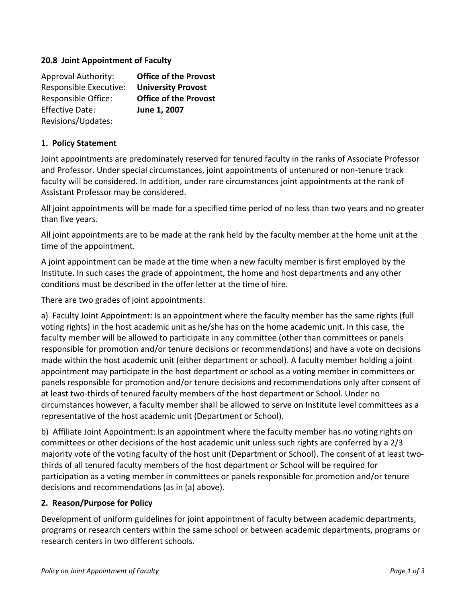### **20.8 Joint Appointment of Faculty**

| <b>Approval Authority:</b> | <b>Office of the Provost</b> |
|----------------------------|------------------------------|
| Responsible Executive:     | <b>University Provost</b>    |
| Responsible Office:        | <b>Office of the Provost</b> |
| <b>Effective Date:</b>     | June 1, 2007                 |
| Revisions/Updates:         |                              |

#### **1. Policy Statement**

Joint appointments are predominately reserved for tenured faculty in the ranks of Associate Professor and Professor. Under special circumstances, joint appointments of untenured or non-tenure track faculty will be considered. In addition, under rare circumstances joint appointments at the rank of Assistant Professor may be considered.

All joint appointments will be made for a specified time period of no less than two years and no greater than five years.

All joint appointments are to be made at the rank held by the faculty member at the home unit at the time of the appointment.

A joint appointment can be made at the time when a new faculty member is first employed by the Institute. In such cases the grade of appointment, the home and host departments and any other conditions must be described in the offer letter at the time of hire.

There are two grades of joint appointments:

a) Faculty Joint Appointment: Is an appointment where the faculty member has the same rights (full voting rights) in the host academic unit as he/she has on the home academic unit. In this case, the faculty member will be allowed to participate in any committee (other than committees or panels responsible for promotion and/or tenure decisions or recommendations) and have a vote on decisions made within the host academic unit (either department or school). A faculty member holding a joint appointment may participate in the host department or school as a voting member in committees or panels responsible for promotion and/or tenure decisions and recommendations only after consent of at least two‐thirds of tenured faculty members of the host department or School. Under no circumstances however, a faculty member shall be allowed to serve on Institute level committees as a representative of the host academic unit (Department or School).

b) Affiliate Joint Appointment: Is an appointment where the faculty member has no voting rights on committees or other decisions of the host academic unit unless such rights are conferred by a 2/3 majority vote of the voting faculty of the host unit (Department or School). The consent of at least two‐ thirds of all tenured faculty members of the host department or School will be required for participation as a voting member in committees or panels responsible for promotion and/or tenure decisions and recommendations (as in (a) above).

#### **2. Reason/Purpose for Policy**

Development of uniform guidelines for joint appointment of faculty between academic departments, programs or research centers within the same school or between academic departments, programs or research centers in two different schools.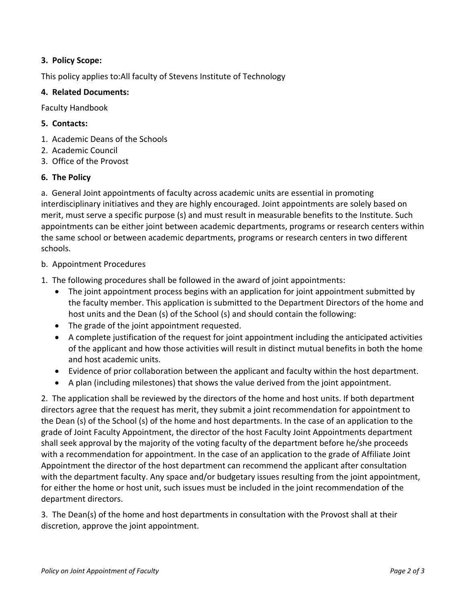## **3. Policy Scope:**

This policy applies to:All faculty of Stevens Institute of Technology

## **4. Related Documents:**

Faculty Handbook

# **5. Contacts:**

- 1. Academic Deans of the Schools
- 2. Academic Council
- 3. Office of the Provost

# **6. The Policy**

a. General Joint appointments of faculty across academic units are essential in promoting interdisciplinary initiatives and they are highly encouraged. Joint appointments are solely based on merit, must serve a specific purpose (s) and must result in measurable benefits to the Institute. Such appointments can be either joint between academic departments, programs or research centers within the same school or between academic departments, programs or research centers in two different schools.

# b. Appointment Procedures

- 1. The following procedures shall be followed in the award of joint appointments:
	- The joint appointment process begins with an application for joint appointment submitted by the faculty member. This application is submitted to the Department Directors of the home and host units and the Dean (s) of the School (s) and should contain the following:
	- The grade of the joint appointment requested.
	- A complete justification of the request for joint appointment including the anticipated activities of the applicant and how those activities will result in distinct mutual benefits in both the home and host academic units.
	- Evidence of prior collaboration between the applicant and faculty within the host department.
	- A plan (including milestones) that shows the value derived from the joint appointment.

2. The application shall be reviewed by the directors of the home and host units. If both department directors agree that the request has merit, they submit a joint recommendation for appointment to the Dean (s) of the School (s) of the home and host departments. In the case of an application to the grade of Joint Faculty Appointment, the director of the host Faculty Joint Appointments department shall seek approval by the majority of the voting faculty of the department before he/she proceeds with a recommendation for appointment. In the case of an application to the grade of Affiliate Joint Appointment the director of the host department can recommend the applicant after consultation with the department faculty. Any space and/or budgetary issues resulting from the joint appointment, for either the home or host unit, such issues must be included in the joint recommendation of the department directors.

3. The Dean(s) of the home and host departments in consultation with the Provost shall at their discretion, approve the joint appointment.